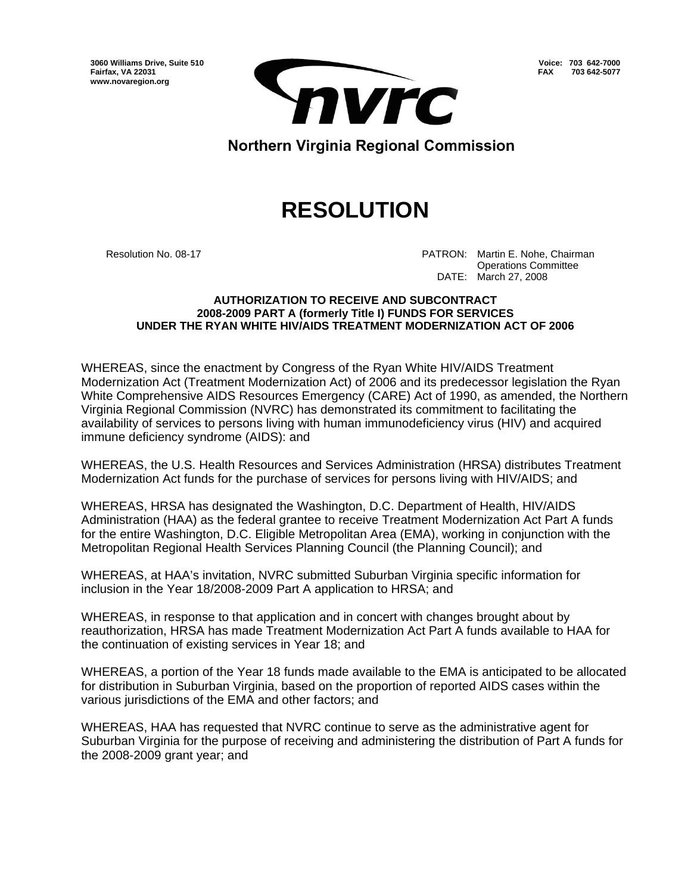**3060 Williams Drive, Suite 510 Fairfax, VA 22031 www.novaregion.org** 



**Voice: 703 642-7000 FAX 703 642-5077**

**Northern Virginia Regional Commission** 

## **RESOLUTION**

Resolution No. 08-17 **PATRON: Martin E. Nohe, Chairman**  Operations Committee DATE: March 27, 2008

## **AUTHORIZATION TO RECEIVE AND SUBCONTRACT 2008-2009 PART A (formerly Title I) FUNDS FOR SERVICES UNDER THE RYAN WHITE HIV/AIDS TREATMENT MODERNIZATION ACT OF 2006**

WHEREAS, since the enactment by Congress of the Ryan White HIV/AIDS Treatment Modernization Act (Treatment Modernization Act) of 2006 and its predecessor legislation the Ryan White Comprehensive AIDS Resources Emergency (CARE) Act of 1990, as amended, the Northern Virginia Regional Commission (NVRC) has demonstrated its commitment to facilitating the availability of services to persons living with human immunodeficiency virus (HIV) and acquired immune deficiency syndrome (AIDS): and

WHEREAS, the U.S. Health Resources and Services Administration (HRSA) distributes Treatment Modernization Act funds for the purchase of services for persons living with HIV/AIDS; and

WHEREAS, HRSA has designated the Washington, D.C. Department of Health, HIV/AIDS Administration (HAA) as the federal grantee to receive Treatment Modernization Act Part A funds for the entire Washington, D.C. Eligible Metropolitan Area (EMA), working in conjunction with the Metropolitan Regional Health Services Planning Council (the Planning Council); and

WHEREAS, at HAA's invitation, NVRC submitted Suburban Virginia specific information for inclusion in the Year 18/2008-2009 Part A application to HRSA; and

WHEREAS, in response to that application and in concert with changes brought about by reauthorization, HRSA has made Treatment Modernization Act Part A funds available to HAA for the continuation of existing services in Year 18; and

WHEREAS, a portion of the Year 18 funds made available to the EMA is anticipated to be allocated for distribution in Suburban Virginia, based on the proportion of reported AIDS cases within the various jurisdictions of the EMA and other factors; and

WHEREAS, HAA has requested that NVRC continue to serve as the administrative agent for Suburban Virginia for the purpose of receiving and administering the distribution of Part A funds for the 2008-2009 grant year; and